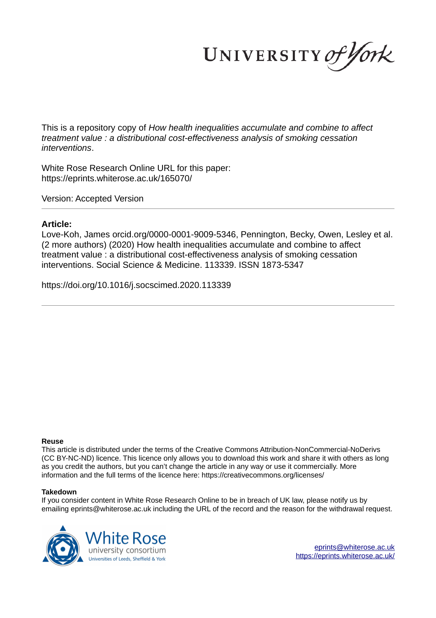UNIVERSITY of York

This is a repository copy of *How health inequalities accumulate and combine to affect treatment value : a distributional cost-effectiveness analysis of smoking cessation interventions*.

White Rose Research Online URL for this paper: https://eprints.whiterose.ac.uk/165070/

Version: Accepted Version

### **Article:**

Love-Koh, James orcid.org/0000-0001-9009-5346, Pennington, Becky, Owen, Lesley et al. (2 more authors) (2020) How health inequalities accumulate and combine to affect treatment value : a distributional cost-effectiveness analysis of smoking cessation interventions. Social Science & Medicine. 113339. ISSN 1873-5347

https://doi.org/10.1016/j.socscimed.2020.113339

#### **Reuse**

This article is distributed under the terms of the Creative Commons Attribution-NonCommercial-NoDerivs (CC BY-NC-ND) licence. This licence only allows you to download this work and share it with others as long as you credit the authors, but you can't change the article in any way or use it commercially. More information and the full terms of the licence here: https://creativecommons.org/licenses/

#### **Takedown**

If you consider content in White Rose Research Online to be in breach of UK law, please notify us by emailing eprints@whiterose.ac.uk including the URL of the record and the reason for the withdrawal request.



eprints@whiterose.ac.uk https://eprints.whiterose.ac.uk/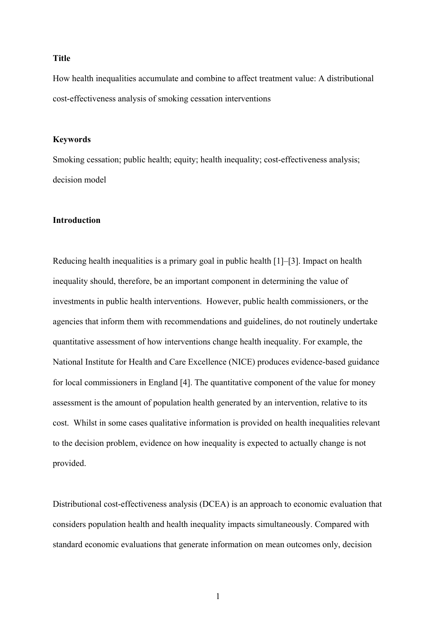#### **Title**

How health inequalities accumulate and combine to affect treatment value: A distributional cost-effectiveness analysis of smoking cessation interventions

### **Keywords**

Smoking cessation; public health; equity; health inequality; cost-effectiveness analysis; decision model

## **Introduction**

Reducing health inequalities is a primary goal in public health [1]–[3]. Impact on health inequality should, therefore, be an important component in determining the value of investments in public health interventions. However, public health commissioners, or the agencies that inform them with recommendations and guidelines, do not routinely undertake quantitative assessment of how interventions change health inequality. For example, the National Institute for Health and Care Excellence (NICE) produces evidence-based guidance for local commissioners in England [4]. The quantitative component of the value for money assessment is the amount of population health generated by an intervention, relative to its cost. Whilst in some cases qualitative information is provided on health inequalities relevant to the decision problem, evidence on how inequality is expected to actually change is not provided.

Distributional cost-effectiveness analysis (DCEA) is an approach to economic evaluation that considers population health and health inequality impacts simultaneously. Compared with standard economic evaluations that generate information on mean outcomes only, decision

1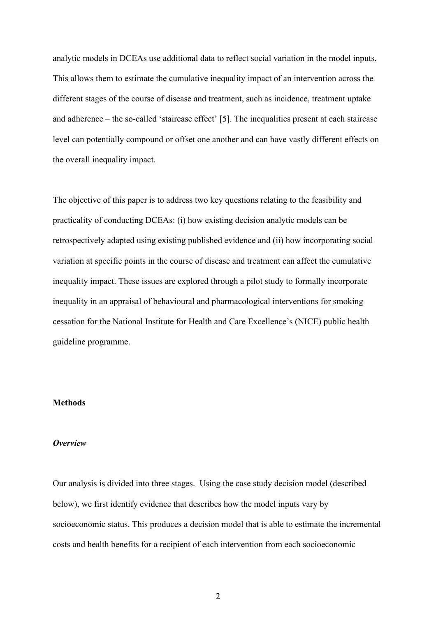analytic models in DCEAs use additional data to reflect social variation in the model inputs. This allows them to estimate the cumulative inequality impact of an intervention across the different stages of the course of disease and treatment, such as incidence, treatment uptake and adherence – the so-called 'staircase effect' [5]. The inequalities present at each staircase level can potentially compound or offset one another and can have vastly different effects on the overall inequality impact.

The objective of this paper is to address two key questions relating to the feasibility and practicality of conducting DCEAs: (i) how existing decision analytic models can be retrospectively adapted using existing published evidence and (ii) how incorporating social variation at specific points in the course of disease and treatment can affect the cumulative inequality impact. These issues are explored through a pilot study to formally incorporate inequality in an appraisal of behavioural and pharmacological interventions for smoking cessation for the National Institute for Health and Care Excellence's (NICE) public health guideline programme.

### **Methods**

#### *Overview*

Our analysis is divided into three stages. Using the case study decision model (described below), we first identify evidence that describes how the model inputs vary by socioeconomic status. This produces a decision model that is able to estimate the incremental costs and health benefits for a recipient of each intervention from each socioeconomic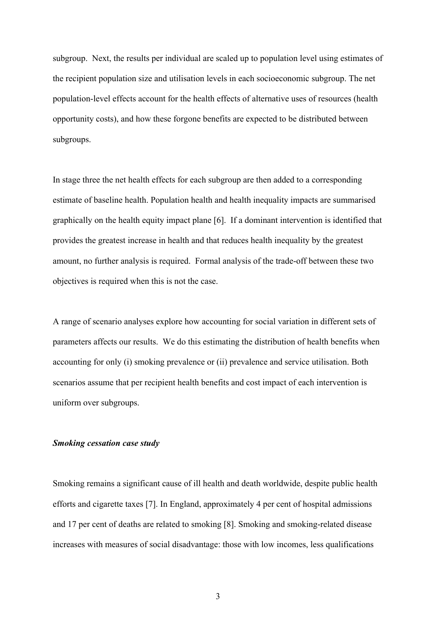subgroup. Next, the results per individual are scaled up to population level using estimates of the recipient population size and utilisation levels in each socioeconomic subgroup. The net population-level effects account for the health effects of alternative uses of resources (health opportunity costs), and how these forgone benefits are expected to be distributed between subgroups.

In stage three the net health effects for each subgroup are then added to a corresponding estimate of baseline health. Population health and health inequality impacts are summarised graphically on the health equity impact plane [6]. If a dominant intervention is identified that provides the greatest increase in health and that reduces health inequality by the greatest amount, no further analysis is required. Formal analysis of the trade-off between these two objectives is required when this is not the case.

A range of scenario analyses explore how accounting for social variation in different sets of parameters affects our results. We do this estimating the distribution of health benefits when accounting for only (i) smoking prevalence or (ii) prevalence and service utilisation. Both scenarios assume that per recipient health benefits and cost impact of each intervention is uniform over subgroups.

## *Smoking cessation case study*

Smoking remains a significant cause of ill health and death worldwide, despite public health efforts and cigarette taxes [7]. In England, approximately 4 per cent of hospital admissions and 17 per cent of deaths are related to smoking [8]. Smoking and smoking-related disease increases with measures of social disadvantage: those with low incomes, less qualifications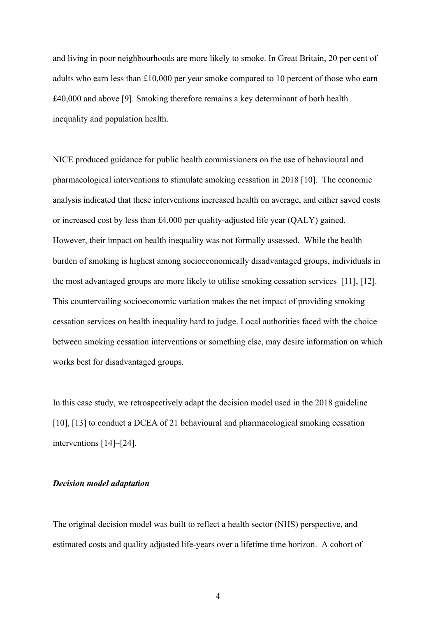and living in poor neighbourhoods are more likely to smoke. In Great Britain, 20 per cent of adults who earn less than £10,000 per year smoke compared to 10 percent of those who earn £40,000 and above [9]. Smoking therefore remains a key determinant of both health inequality and population health.

NICE produced guidance for public health commissioners on the use of behavioural and pharmacological interventions to stimulate smoking cessation in 2018 [10]. The economic analysis indicated that these interventions increased health on average, and either saved costs or increased cost by less than £4,000 per quality-adjusted life year (QALY) gained. However, their impact on health inequality was not formally assessed. While the health burden of smoking is highest among socioeconomically disadvantaged groups, individuals in the most advantaged groups are more likely to utilise smoking cessation services [11], [12]. This countervailing socioeconomic variation makes the net impact of providing smoking cessation services on health inequality hard to judge. Local authorities faced with the choice between smoking cessation interventions or something else, may desire information on which works best for disadvantaged groups.

In this case study, we retrospectively adapt the decision model used in the 2018 guideline [10], [13] to conduct a DCEA of 21 behavioural and pharmacological smoking cessation interventions [14]–[24].

#### *Decision model adaptation*

The original decision model was built to reflect a health sector (NHS) perspective, and estimated costs and quality adjusted life-years over a lifetime time horizon. A cohort of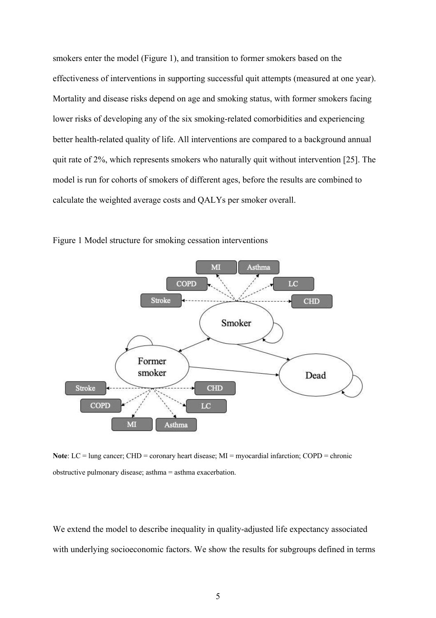smokers enter the model (Figure 1), and transition to former smokers based on the effectiveness of interventions in supporting successful quit attempts (measured at one year). Mortality and disease risks depend on age and smoking status, with former smokers facing lower risks of developing any of the six smoking-related comorbidities and experiencing better health-related quality of life. All interventions are compared to a background annual quit rate of 2%, which represents smokers who naturally quit without intervention [25]. The model is run for cohorts of smokers of different ages, before the results are combined to calculate the weighted average costs and QALYs per smoker overall.



Figure 1 Model structure for smoking cessation interventions

Note: LC = lung cancer; CHD = coronary heart disease; MI = myocardial infarction; COPD = chronic obstructive pulmonary disease; asthma = asthma exacerbation.

We extend the model to describe inequality in quality-adjusted life expectancy associated with underlying socioeconomic factors. We show the results for subgroups defined in terms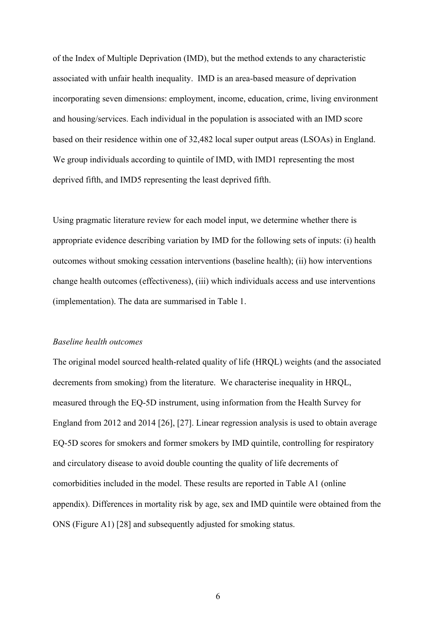of the Index of Multiple Deprivation (IMD), but the method extends to any characteristic associated with unfair health inequality. IMD is an area-based measure of deprivation incorporating seven dimensions: employment, income, education, crime, living environment and housing/services. Each individual in the population is associated with an IMD score based on their residence within one of 32,482 local super output areas (LSOAs) in England. We group individuals according to quintile of IMD, with IMD1 representing the most deprived fifth, and IMD5 representing the least deprived fifth.

Using pragmatic literature review for each model input, we determine whether there is appropriate evidence describing variation by IMD for the following sets of inputs: (i) health outcomes without smoking cessation interventions (baseline health); (ii) how interventions change health outcomes (effectiveness), (iii) which individuals access and use interventions (implementation). The data are summarised in Table 1.

### *Baseline health outcomes*

The original model sourced health-related quality of life (HRQL) weights (and the associated decrements from smoking) from the literature. We characterise inequality in HRQL, measured through the EQ-5D instrument, using information from the Health Survey for England from 2012 and 2014 [26], [27]. Linear regression analysis is used to obtain average EQ-5D scores for smokers and former smokers by IMD quintile, controlling for respiratory and circulatory disease to avoid double counting the quality of life decrements of comorbidities included in the model. These results are reported in Table A1 (online appendix). Differences in mortality risk by age, sex and IMD quintile were obtained from the ONS (Figure A1) [28] and subsequently adjusted for smoking status.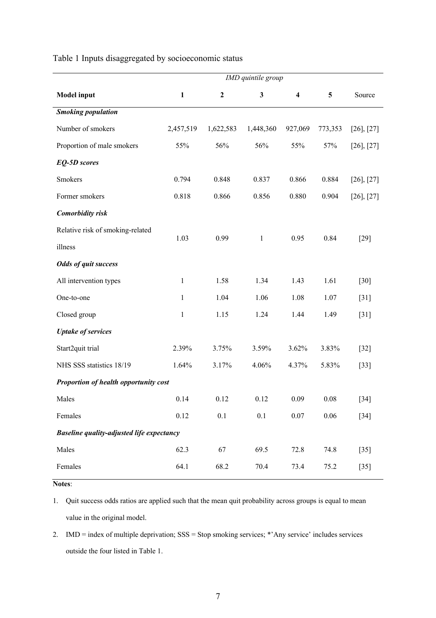| Table 1 Inputs disaggregated by socioeconomic status |
|------------------------------------------------------|
|------------------------------------------------------|

|                                                  | IMD quintile group |              |              |                         |          |                 |  |  |  |  |
|--------------------------------------------------|--------------------|--------------|--------------|-------------------------|----------|-----------------|--|--|--|--|
| <b>Model</b> input                               | $\mathbf{1}$       | $\mathbf{2}$ | $\mathbf{3}$ | $\overline{\mathbf{4}}$ | 5        | Source          |  |  |  |  |
| <b>Smoking population</b>                        |                    |              |              |                         |          |                 |  |  |  |  |
| Number of smokers                                | 2,457,519          | 1,622,583    | 1,448,360    | 927,069                 | 773,353  | $[26]$ , $[27]$ |  |  |  |  |
| Proportion of male smokers                       | 55%                | 56%          | 56%          | 55%                     | 57%      | $[26]$ , $[27]$ |  |  |  |  |
| <b>EQ-5D</b> scores                              |                    |              |              |                         |          |                 |  |  |  |  |
| Smokers                                          | 0.794              | 0.848        | 0.837        | 0.866                   | 0.884    | $[26]$ , $[27]$ |  |  |  |  |
| Former smokers                                   | 0.818              | 0.866        | 0.856        | 0.880                   | 0.904    | $[26]$ , $[27]$ |  |  |  |  |
| <b>Comorbidity</b> risk                          |                    |              |              |                         |          |                 |  |  |  |  |
| Relative risk of smoking-related                 |                    |              |              |                         |          |                 |  |  |  |  |
| illness                                          | 1.03               | 0.99         | $\mathbf{1}$ | 0.95                    | 0.84     | $[29]$          |  |  |  |  |
| <b>Odds of quit success</b>                      |                    |              |              |                         |          |                 |  |  |  |  |
| All intervention types                           | $\mathbf{1}$       | 1.58         | 1.34         | 1.43                    | 1.61     | $[30]$          |  |  |  |  |
| One-to-one                                       | $\mathbf{1}$       | 1.04         | 1.06         | 1.08                    | 1.07     | $[31]$          |  |  |  |  |
| Closed group                                     | $\mathbf{1}$       | 1.15         | 1.24         | 1.44                    | 1.49     | $[31]$          |  |  |  |  |
| <b>Uptake of services</b>                        |                    |              |              |                         |          |                 |  |  |  |  |
| Start2quit trial                                 | 2.39%              | 3.75%        | 3.59%        | 3.62%                   | 3.83%    | $[32]$          |  |  |  |  |
| NHS SSS statistics 18/19                         | 1.64%              | 3.17%        | 4.06%        | 4.37%                   | 5.83%    | $[33]$          |  |  |  |  |
| Proportion of health opportunity cost            |                    |              |              |                         |          |                 |  |  |  |  |
| Males                                            | 0.14               | 0.12         | 0.12         | 0.09                    | $0.08\,$ | $[34]$          |  |  |  |  |
| Females                                          | 0.12               | 0.1          | $0.1\,$      | $0.07\,$                | $0.06\,$ | $[34]$          |  |  |  |  |
| <b>Baseline quality-adjusted life expectancy</b> |                    |              |              |                         |          |                 |  |  |  |  |
| Males                                            | 62.3               | 67           | 69.5         | 72.8                    | 74.8     | $[35]$          |  |  |  |  |
| Females                                          | 64.1               | 68.2         | 70.4         | 73.4                    | 75.2     | $[35]$          |  |  |  |  |

**Notes**:

1. Quit success odds ratios are applied such that the mean quit probability across groups is equal to mean value in the original model.

2. IMD = index of multiple deprivation; SSS = Stop smoking services; \*'Any service' includes services outside the four listed in Table 1.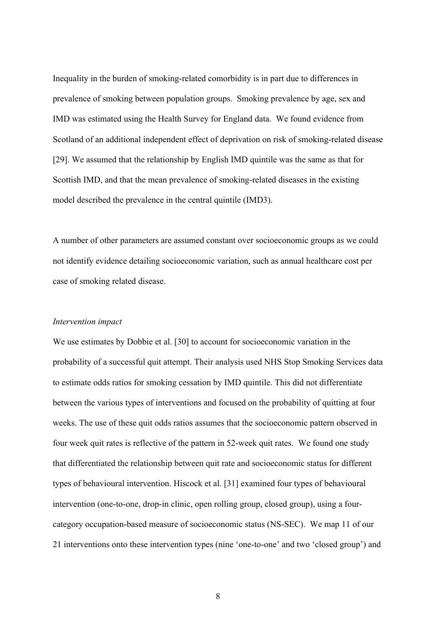Inequality in the burden of smoking-related comorbidity is in part due to differences in prevalence of smoking between population groups. Smoking prevalence by age, sex and IMD was estimated using the Health Survey for England data. We found evidence from Scotland of an additional independent effect of deprivation on risk of smoking-related disease [29]. We assumed that the relationship by English IMD quintile was the same as that for Scottish IMD, and that the mean prevalence of smoking-related diseases in the existing model described the prevalence in the central quintile (IMD3).

A number of other parameters are assumed constant over socioeconomic groups as we could not identify evidence detailing socioeconomic variation, such as annual healthcare cost per case of smoking related disease.

#### *Intervention impact*

We use estimates by Dobbie et al. [30] to account for socioeconomic variation in the probability of a successful quit attempt. Their analysis used NHS Stop Smoking Services data to estimate odds ratios for smoking cessation by IMD quintile. This did not differentiate between the various types of interventions and focused on the probability of quitting at four weeks. The use of these quit odds ratios assumes that the socioeconomic pattern observed in four week quit rates is reflective of the pattern in 52-week quit rates. We found one study that differentiated the relationship between quit rate and socioeconomic status for different types of behavioural intervention. Hiscock et al. [31] examined four types of behavioural intervention (one-to-one, drop-in clinic, open rolling group, closed group), using a fourcategory occupation-based measure of socioeconomic status (NS-SEC). We map 11 of our 21 interventions onto these intervention types (nine 'one-to-one' and two 'closed group') and

8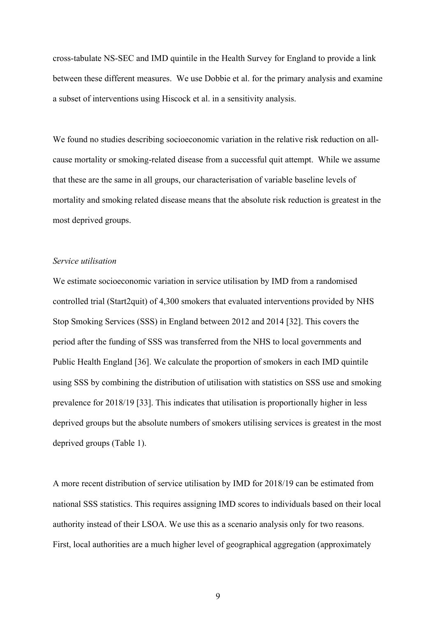cross-tabulate NS-SEC and IMD quintile in the Health Survey for England to provide a link between these different measures. We use Dobbie et al. for the primary analysis and examine a subset of interventions using Hiscock et al. in a sensitivity analysis.

We found no studies describing socioeconomic variation in the relative risk reduction on allcause mortality or smoking-related disease from a successful quit attempt. While we assume that these are the same in all groups, our characterisation of variable baseline levels of mortality and smoking related disease means that the absolute risk reduction is greatest in the most deprived groups.

## *Service utilisation*

We estimate socioeconomic variation in service utilisation by IMD from a randomised controlled trial (Start2quit) of 4,300 smokers that evaluated interventions provided by NHS Stop Smoking Services (SSS) in England between 2012 and 2014 [32]. This covers the period after the funding of SSS was transferred from the NHS to local governments and Public Health England [36]. We calculate the proportion of smokers in each IMD quintile using SSS by combining the distribution of utilisation with statistics on SSS use and smoking prevalence for 2018/19 [33]. This indicates that utilisation is proportionally higher in less deprived groups but the absolute numbers of smokers utilising services is greatest in the most deprived groups (Table 1).

A more recent distribution of service utilisation by IMD for 2018/19 can be estimated from national SSS statistics. This requires assigning IMD scores to individuals based on their local authority instead of their LSOA. We use this as a scenario analysis only for two reasons. First, local authorities are a much higher level of geographical aggregation (approximately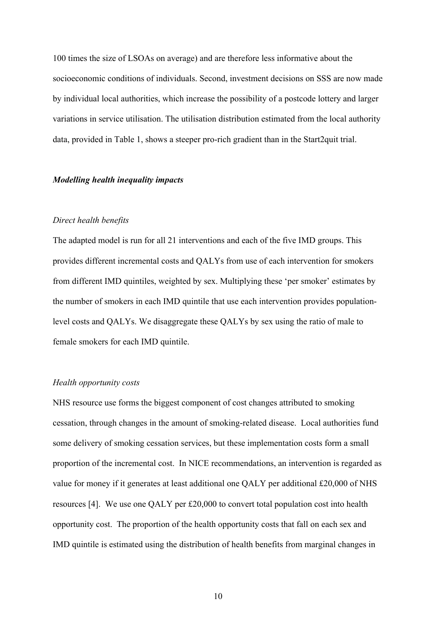100 times the size of LSOAs on average) and are therefore less informative about the socioeconomic conditions of individuals. Second, investment decisions on SSS are now made by individual local authorities, which increase the possibility of a postcode lottery and larger variations in service utilisation. The utilisation distribution estimated from the local authority data, provided in Table 1, shows a steeper pro-rich gradient than in the Start2quit trial.

### *Modelling health inequality impacts*

### *Direct health benefits*

The adapted model is run for all 21 interventions and each of the five IMD groups. This provides different incremental costs and QALYs from use of each intervention for smokers from different IMD quintiles, weighted by sex. Multiplying these 'per smoker' estimates by the number of smokers in each IMD quintile that use each intervention provides populationlevel costs and QALYs. We disaggregate these QALYs by sex using the ratio of male to female smokers for each IMD quintile.

### *Health opportunity costs*

NHS resource use forms the biggest component of cost changes attributed to smoking cessation, through changes in the amount of smoking-related disease. Local authorities fund some delivery of smoking cessation services, but these implementation costs form a small proportion of the incremental cost. In NICE recommendations, an intervention is regarded as value for money if it generates at least additional one QALY per additional £20,000 of NHS resources [4]. We use one QALY per £20,000 to convert total population cost into health opportunity cost. The proportion of the health opportunity costs that fall on each sex and IMD quintile is estimated using the distribution of health benefits from marginal changes in

10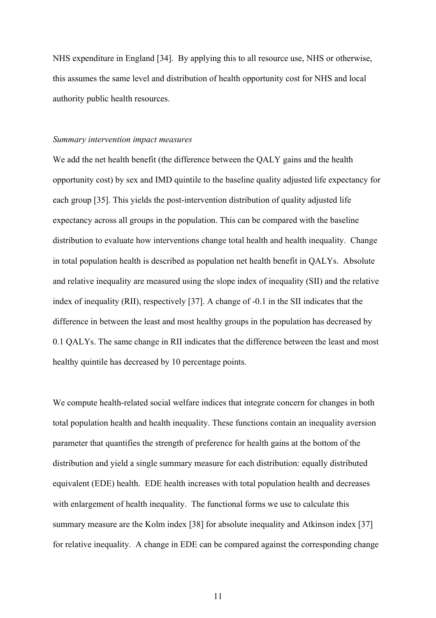NHS expenditure in England [34]. By applying this to all resource use, NHS or otherwise, this assumes the same level and distribution of health opportunity cost for NHS and local authority public health resources.

#### *Summary intervention impact measures*

We add the net health benefit (the difference between the QALY gains and the health opportunity cost) by sex and IMD quintile to the baseline quality adjusted life expectancy for each group [35]. This yields the post-intervention distribution of quality adjusted life expectancy across all groups in the population. This can be compared with the baseline distribution to evaluate how interventions change total health and health inequality. Change in total population health is described as population net health benefit in QALYs. Absolute and relative inequality are measured using the slope index of inequality (SII) and the relative index of inequality (RII), respectively [37]. A change of -0.1 in the SII indicates that the difference in between the least and most healthy groups in the population has decreased by 0.1 QALYs. The same change in RII indicates that the difference between the least and most healthy quintile has decreased by 10 percentage points.

We compute health-related social welfare indices that integrate concern for changes in both total population health and health inequality. These functions contain an inequality aversion parameter that quantifies the strength of preference for health gains at the bottom of the distribution and yield a single summary measure for each distribution: equally distributed equivalent (EDE) health. EDE health increases with total population health and decreases with enlargement of health inequality. The functional forms we use to calculate this summary measure are the Kolm index [38] for absolute inequality and Atkinson index [37] for relative inequality. A change in EDE can be compared against the corresponding change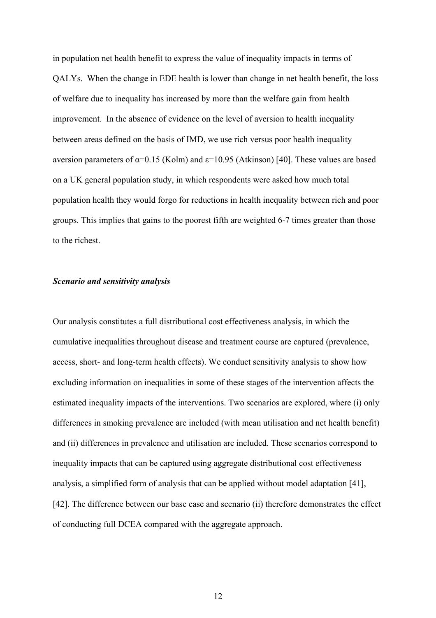in population net health benefit to express the value of inequality impacts in terms of QALYs. When the change in EDE health is lower than change in net health benefit, the loss of welfare due to inequality has increased by more than the welfare gain from health improvement. In the absence of evidence on the level of aversion to health inequality between areas defined on the basis of IMD, we use rich versus poor health inequality aversion parameters of  $\alpha$ =0.15 (Kolm) and  $\epsilon$ =10.95 (Atkinson) [40]. These values are based on a UK general population study, in which respondents were asked how much total population health they would forgo for reductions in health inequality between rich and poor groups. This implies that gains to the poorest fifth are weighted 6-7 times greater than those to the richest.

#### *Scenario and sensitivity analysis*

Our analysis constitutes a full distributional cost effectiveness analysis, in which the cumulative inequalities throughout disease and treatment course are captured (prevalence, access, short- and long-term health effects). We conduct sensitivity analysis to show how excluding information on inequalities in some of these stages of the intervention affects the estimated inequality impacts of the interventions. Two scenarios are explored, where (i) only differences in smoking prevalence are included (with mean utilisation and net health benefit) and (ii) differences in prevalence and utilisation are included. These scenarios correspond to inequality impacts that can be captured using aggregate distributional cost effectiveness analysis, a simplified form of analysis that can be applied without model adaptation [41], [42]. The difference between our base case and scenario (ii) therefore demonstrates the effect of conducting full DCEA compared with the aggregate approach.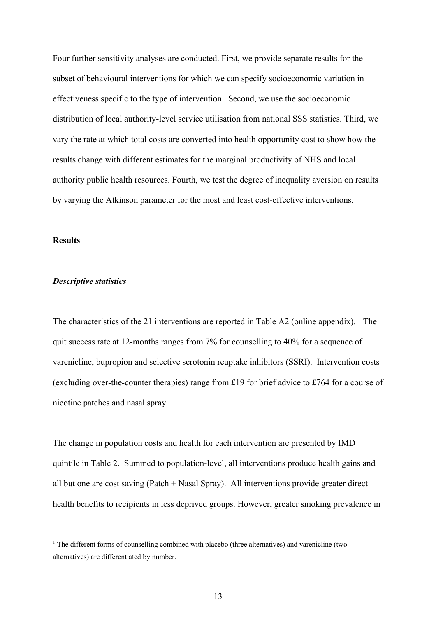Four further sensitivity analyses are conducted. First, we provide separate results for the subset of behavioural interventions for which we can specify socioeconomic variation in effectiveness specific to the type of intervention. Second, we use the socioeconomic distribution of local authority-level service utilisation from national SSS statistics. Third, we vary the rate at which total costs are converted into health opportunity cost to show how the results change with different estimates for the marginal productivity of NHS and local authority public health resources. Fourth, we test the degree of inequality aversion on results by varying the Atkinson parameter for the most and least cost-effective interventions.

#### **Results**

### *Descriptive statistics*

The characteristics of the 21 interventions are reported in Table A2 (online appendix).<sup>1</sup> The quit success rate at 12-months ranges from 7% for counselling to 40% for a sequence of varenicline, bupropion and selective serotonin reuptake inhibitors (SSRI). Intervention costs (excluding over-the-counter therapies) range from £19 for brief advice to £764 for a course of nicotine patches and nasal spray.

The change in population costs and health for each intervention are presented by IMD quintile in Table 2. Summed to population-level, all interventions produce health gains and all but one are cost saving (Patch + Nasal Spray). All interventions provide greater direct health benefits to recipients in less deprived groups. However, greater smoking prevalence in

<sup>&</sup>lt;sup>1</sup> The different forms of counselling combined with placebo (three alternatives) and varenicline (two alternatives) are differentiated by number.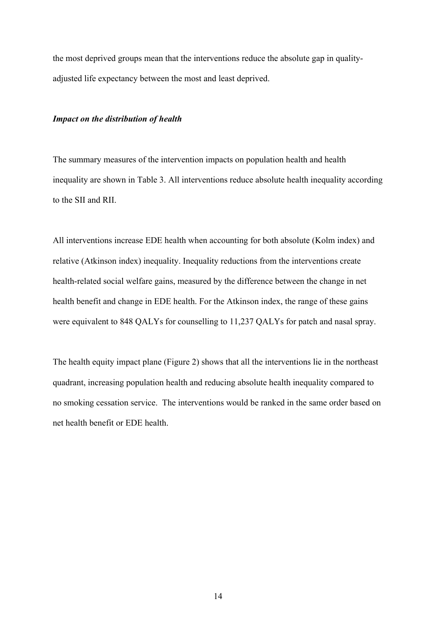the most deprived groups mean that the interventions reduce the absolute gap in qualityadjusted life expectancy between the most and least deprived.

#### *Impact on the distribution of health*

The summary measures of the intervention impacts on population health and health inequality are shown in Table 3. All interventions reduce absolute health inequality according to the SII and RII.

All interventions increase EDE health when accounting for both absolute (Kolm index) and relative (Atkinson index) inequality. Inequality reductions from the interventions create health-related social welfare gains, measured by the difference between the change in net health benefit and change in EDE health. For the Atkinson index, the range of these gains were equivalent to 848 QALYs for counselling to 11,237 QALYs for patch and nasal spray.

The health equity impact plane (Figure 2) shows that all the interventions lie in the northeast quadrant, increasing population health and reducing absolute health inequality compared to no smoking cessation service. The interventions would be ranked in the same order based on net health benefit or EDE health.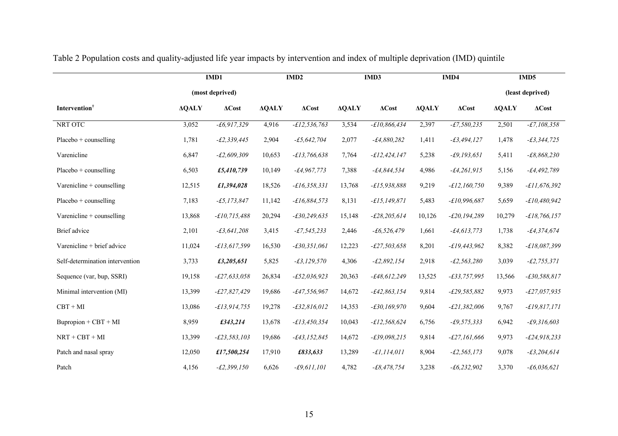|                                 |              | IMD1            |              | IMD <sub>2</sub> |              | IMD3            |              | IMD4             |              | IMD <sub>5</sub> |
|---------------------------------|--------------|-----------------|--------------|------------------|--------------|-----------------|--------------|------------------|--------------|------------------|
|                                 |              | (most deprived) |              |                  |              |                 |              |                  |              | (least deprived) |
| Intervention <sup>†</sup>       | <b>AQALY</b> | $\Delta Cost$   | <b>AQALY</b> | $\Delta Cost$    | <b>AQALY</b> | $\Delta Cost$   | <b>AQALY</b> | $\Delta Cost$    | <b>AQALY</b> | $\Delta Cost$    |
| NRT OTC                         | 3,052        | $-t6,917,329$   | 4,916        | $-£12,536,763$   | 3,534        | $-£10,866,434$  | 2,397        | $-£7,580,235$    | 2,501        | $-E7,108,358$    |
| Placebo + counselling           | 1,781        | $-E2, 339, 445$ | 2,904        | $-£5,642,704$    | 2,077        | $-£4,880,282$   | 1,411        | $-£3,494,127$    | 1,478        | $-£3,344,725$    |
| Varenicline                     | 6,847        | $-E2,609,309$   | 10,653       | $-£13,766,638$   | 7,764        | $-f12,424,147$  | 5,238        | $-£9,193,651$    | 5,411        | $-E8,868,230$    |
| $Placebo + counselling$         | 6,503        | £5,410,739      | 10,149       | $-f4,967,773$    | 7,388        | $-£4,844,534$   | 4,986        | $-£4,261,915$    | 5,156        | $-£4,492,789$    |
| Varenicline + counselling       | 12,515       | £1,394,028      | 18,526       | $-£16,358,331$   | 13,768       | $-£15,938,888$  | 9,219        | $-£12,160,750$   | 9,389        | $-£11,676,392$   |
| $Placebo + counselling$         | 7,183        | $-£5, 173, 847$ | 11,142       | $-£16,884,573$   | 8,131        | $-f15,149,871$  | 5,483        | $-£10,996,687$   | 5,659        | $-£10,480,942$   |
| Varenicline $+$ counselling     | 13,868       | $-£10,715,488$  | 20,294       | $-£30,249,635$   | 15,148       | $-£28,205,614$  | 10,126       | $-E20, 194, 289$ | 10,279       | $-£18,766,157$   |
| Brief advice                    | 2,101        | $-£3,641,208$   | 3,415        | $-£7,545,233$    | 2,446        | $-f6,526,479$   | 1,661        | $-£4, 613, 773$  | 1,738        | $-£4,374,674$    |
| Varenicline + brief advice      | 11,024       | $-£13,617,599$  | 16,530       | $-£30,351,061$   | 12,223       | $-£27,503,658$  | 8,201        | $-£19,443,962$   | 8,382        | $-£18,087,399$   |
| Self-determination intervention | 3,733        | £3,205,651      | 5,825        | $-£3, 129, 570$  | 4,306        | $-E2,892,154$   | 2,918        | $-£2,563,280$    | 3,039        | $-E2, 755, 371$  |
| Sequence (var, bup, SSRI)       | 19,158       | $-E27,633,058$  | 26,834       | $-£52,036,923$   | 20,363       | $-£48,612,249$  | 13,525       | $-£33,757,995$   | 13,566       | $-£30,588,817$   |
| Minimal intervention (MI)       | 13,399       | $-£27,827,429$  | 19,686       | $-£47,556,967$   | 14,672       | $-£42,863,154$  | 9,814        | $-E29,585,882$   | 9,973        | $-E27,057,935$   |
| $CBT + MI$                      | 13,086       | $-f13,914,755$  | 19,278       | $-£32,816,012$   | 14,353       | $-£30,169,970$  | 9,604        | $-E21,382,006$   | 9,767        | $-£19,817,171$   |
| $Bupropion + CBT + MI$          | 8,959        | £343,214        | 13,678       | $-£13,450,354$   | 10,043       | $-£12,568,624$  | 6,756        | $-£9,575,333$    | 6,942        | $-£9,316,603$    |
| $NRT + CBT + MI$                | 13,399       | $-E23,583,103$  | 19,686       | $-£43, 152, 845$ | 14,672       | $-£39,098,215$  | 9,814        | $-£27,161,666$   | 9,973        | $-E24,918,233$   |
| Patch and nasal spray           | 12,050       | £17,500,254     | 17,910       | £833,633         | 13,289       | $-£1, 114, 011$ | 8,904        | $-E2, 565, 173$  | 9,078        | $-£3,204,614$    |
| Patch                           | 4,156        | $-E2,399,150$   | 6,626        | $-f9,611,101$    | 4,782        | $-£8,478,754$   | 3,238        | $-f6,232,902$    | 3,370        | $-f6,036,621$    |

Table 2 Population costs and quality-adjusted life year impacts by intervention and index of multiple deprivation (IMD) quintile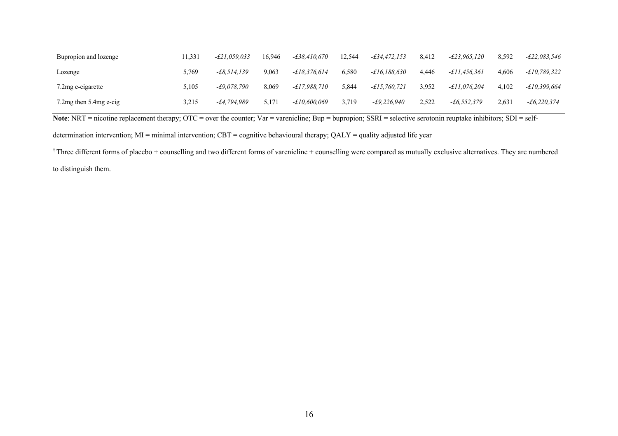| Bupropion and lozenge        | 11.331 | $-E21.059.033$ | 16.946 | -£38.410.670        | 12.544 | -£34.472.153   | 8.412 | -£23.965.120        | 8.592 | $-\pounds 22.083.546$ |
|------------------------------|--------|----------------|--------|---------------------|--------|----------------|-------|---------------------|-------|-----------------------|
| Lozenge                      | 5.769  | $-f8.514.139$  | 9.063  | $-f18.376.614$      | 6.580  | $-£16.188.630$ | 4.446 | <i>-£11.456.361</i> | 4.606 | $-£10,789,322$        |
| 7.2 mg e-cigarette           | 5.105  | $-£9.078.790$  | 8.069  | <i>-£17.988.710</i> | 5.844  | -£15,760,721   | 3.952 | -£11.076.204        | 4.102 | -£10.399.664          |
| 7.2 $mg$ then 5.4 $mg$ e-cig | 3,215  | $-£4.794.989$  | 5,171  | <i>-£10.600.069</i> | 3.719  | $-£9.226.940$  | 2,522 | $-f6.552.379$       | 2,631 | $-f6,220,374$         |

**Note**: NRT = nicotine replacement therapy; OTC = over the counter; Var = varenicline; Bup = bupropion; SSRI = selective serotonin reuptake inhibitors; SDI = self-

determination intervention;  $MI =$  minimal intervention;  $CBT =$  cognitive behavioural therapy;  $QALY =$  quality adjusted life year

 $\dagger$  Three different forms of placebo + counselling and two different forms of varenicline + counselling were compared as mutually exclusive alternatives. They are numbered to distinguish them.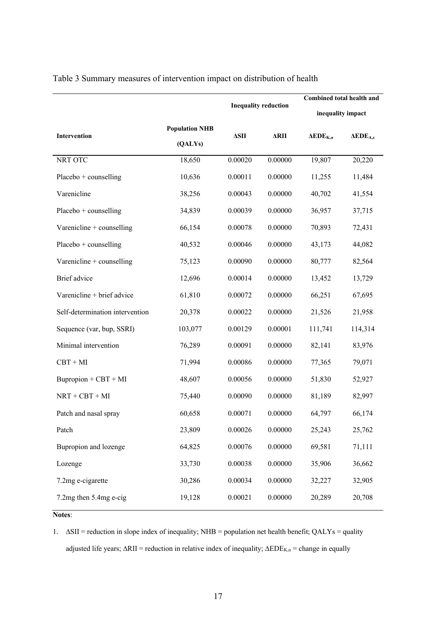|                                 |                                  | <b>Inequality reduction</b> |             | Combined total health and                                      |                          |  |  |
|---------------------------------|----------------------------------|-----------------------------|-------------|----------------------------------------------------------------|--------------------------|--|--|
|                                 |                                  |                             |             | inequality impact                                              |                          |  |  |
| Intervention                    | <b>Population NHB</b><br>(QALYs) | $\Delta\text{SII}$          | <b>ARII</b> | $\mathbf{A}\mathbf{E}\mathbf{D}\mathbf{E}_{\mathbf{K},\alpha}$ | $\bf A EDE_{A,\epsilon}$ |  |  |
| NRT OTC                         | 18,650                           | 0.00020                     | 0.00000     | 19,807                                                         | 20,220                   |  |  |
| $Placebo + countelling$         | 10,636                           | 0.00011                     | 0.00000     | 11,255                                                         | 11,484                   |  |  |
| Varenicline                     | 38,256                           | 0.00043                     | 0.00000     | 40,702                                                         | 41,554                   |  |  |
| $Placebo + countelling$         | 34,839                           | 0.00039                     | 0.00000     | 36,957                                                         | 37,715                   |  |  |
| Varenicline + counselling       | 66,154                           | 0.00078                     | 0.00000     | 70,893                                                         | 72,431                   |  |  |
| $Placebo + countelling$         | 40,532                           | 0.00046                     | 0.00000     | 43,173                                                         | 44,082                   |  |  |
| Varenicline + counselling       | 75,123                           | 0.00090                     | 0.00000     | 80,777                                                         | 82,564                   |  |  |
| Brief advice                    | 12,696                           | 0.00014                     | 0.00000     | 13,452                                                         | 13,729                   |  |  |
| Varenicline + brief advice      | 61,810                           | 0.00072                     | 0.00000     | 66,251                                                         | 67,695                   |  |  |
| Self-determination intervention | 20,378                           | 0.00022                     | 0.00000     | 21,526                                                         | 21,958                   |  |  |
| Sequence (var, bup, SSRI)       | 103,077                          | 0.00129                     | 0.00001     | 111,741                                                        | 114,314                  |  |  |
| Minimal intervention            | 76,289                           | 0.00091                     | 0.00000     | 82,141                                                         | 83,976                   |  |  |
| $CBT + MI$                      | 71,994                           | 0.00086                     | 0.00000     | 77,365                                                         | 79,071                   |  |  |
| $Bupropion + CBT + MI$          | 48,607                           | 0.00056                     | 0.00000     | 51,830                                                         | 52,927                   |  |  |
| $NRT + CBT + MI$                | 75,440                           | 0.00090                     | 0.00000     | 81,189                                                         | 82,997                   |  |  |
| Patch and nasal spray           | 60,658                           | 0.00071                     | 0.00000     | 64,797                                                         | 66,174                   |  |  |
| Patch                           | 23,809                           | 0.00026                     | 0.00000     | 25,243                                                         | 25,762                   |  |  |
| Bupropion and lozenge           | 64,825                           | 0.00076                     | 0.00000     | 69,581                                                         | 71,111                   |  |  |
| Lozenge                         | 33,730                           | 0.00038                     | 0.00000     | 35,906                                                         | 36,662                   |  |  |
| 7.2mg e-cigarette               | 30,286                           | 0.00034                     | 0.00000     | 32,227                                                         | 32,905                   |  |  |
| 7.2mg then 5.4mg e-cig          | 19,128                           | 0.00021                     | 0.00000     | 20,289                                                         | 20,708                   |  |  |

Table 3 Summary measures of intervention impact on distribution of health

# **Notes**:

1. ∆SII = reduction in slope index of inequality; NHB = population net health benefit; QALYs = quality adjusted life years; ∆RII = reduction in relative index of inequality;  $\triangle EDE_{K,\alpha}$  = change in equally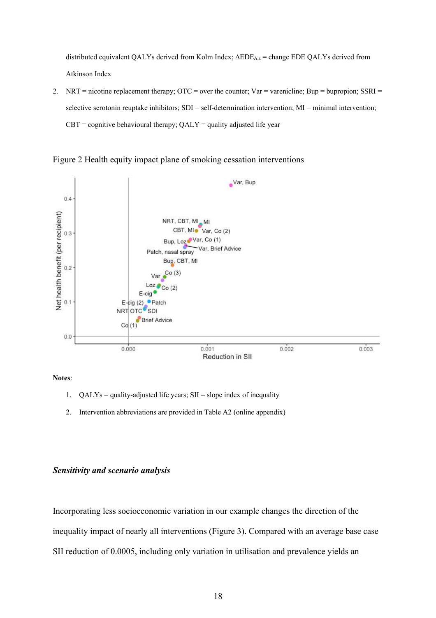distributed equivalent QALYs derived from Kolm Index; ∆EDEA,ε = change EDE QALYs derived from Atkinson Index

2. NRT = nicotine replacement therapy;  $\text{OTC} = \text{over}$  the counter;  $\text{Var} = \text{varenicline}$ ;  $\text{Bup} = \text{bupropion}$ ;  $\text{SSRI} =$ selective serotonin reuptake inhibitors; SDI = self-determination intervention; MI = minimal intervention;  $CBT =$  cognitive behavioural therapy;  $QALY =$  quality adjusted life year





**Notes**:

- 1.  $QALYs =$  quality-adjusted life years;  $SII =$  slope index of inequality
- 2. Intervention abbreviations are provided in Table A2 (online appendix)

## *Sensitivity and scenario analysis*

Incorporating less socioeconomic variation in our example changes the direction of the inequality impact of nearly all interventions (Figure 3). Compared with an average base case SII reduction of 0.0005, including only variation in utilisation and prevalence yields an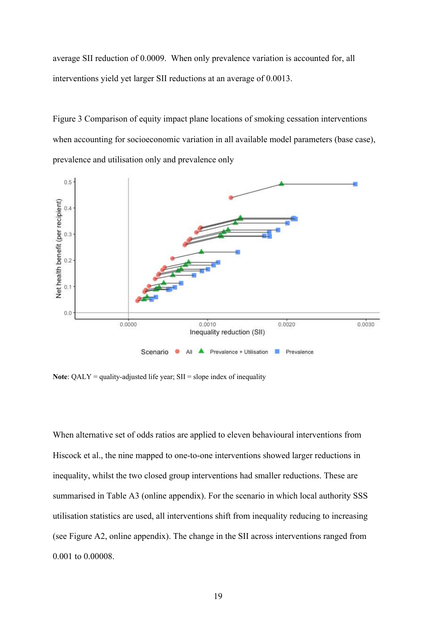average SII reduction of 0.0009. When only prevalence variation is accounted for, all interventions yield yet larger SII reductions at an average of 0.0013.

Figure 3 Comparison of equity impact plane locations of smoking cessation interventions when accounting for socioeconomic variation in all available model parameters (base case), prevalence and utilisation only and prevalence only



**Note:**  $QALY =$  quality-adjusted life year;  $SII =$  slope index of inequality

When alternative set of odds ratios are applied to eleven behavioural interventions from Hiscock et al., the nine mapped to one-to-one interventions showed larger reductions in inequality, whilst the two closed group interventions had smaller reductions. These are summarised in Table A3 (online appendix). For the scenario in which local authority SSS utilisation statistics are used, all interventions shift from inequality reducing to increasing (see Figure A2, online appendix). The change in the SII across interventions ranged from 0.001 to 0.00008.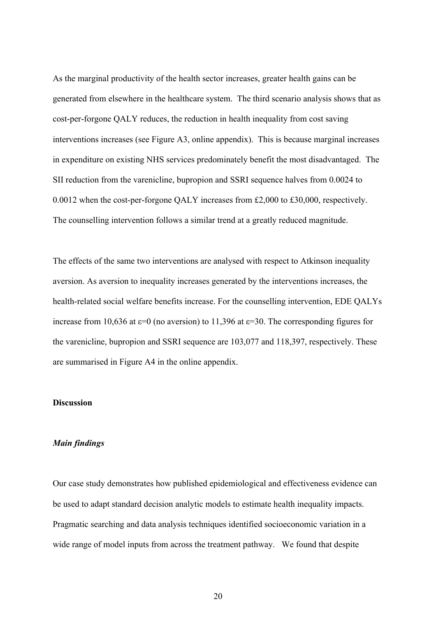As the marginal productivity of the health sector increases, greater health gains can be generated from elsewhere in the healthcare system. The third scenario analysis shows that as cost-per-forgone QALY reduces, the reduction in health inequality from cost saving interventions increases (see Figure A3, online appendix). This is because marginal increases in expenditure on existing NHS services predominately benefit the most disadvantaged. The SII reduction from the varenicline, bupropion and SSRI sequence halves from 0.0024 to 0.0012 when the cost-per-forgone QALY increases from £2,000 to £30,000, respectively. The counselling intervention follows a similar trend at a greatly reduced magnitude.

The effects of the same two interventions are analysed with respect to Atkinson inequality aversion. As aversion to inequality increases generated by the interventions increases, the health-related social welfare benefits increase. For the counselling intervention, EDE QALYs increase from 10,636 at  $\varepsilon$ =0 (no aversion) to 11,396 at  $\varepsilon$ =30. The corresponding figures for the varenicline, bupropion and SSRI sequence are 103,077 and 118,397, respectively. These are summarised in Figure A4 in the online appendix.

### **Discussion**

#### *Main findings*

Our case study demonstrates how published epidemiological and effectiveness evidence can be used to adapt standard decision analytic models to estimate health inequality impacts. Pragmatic searching and data analysis techniques identified socioeconomic variation in a wide range of model inputs from across the treatment pathway. We found that despite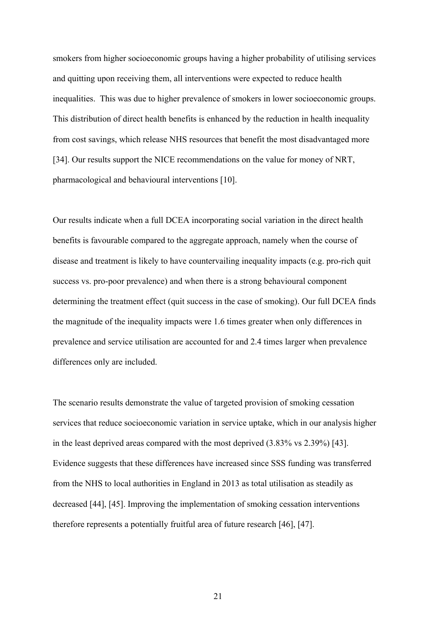smokers from higher socioeconomic groups having a higher probability of utilising services and quitting upon receiving them, all interventions were expected to reduce health inequalities. This was due to higher prevalence of smokers in lower socioeconomic groups. This distribution of direct health benefits is enhanced by the reduction in health inequality from cost savings, which release NHS resources that benefit the most disadvantaged more [34]. Our results support the NICE recommendations on the value for money of NRT, pharmacological and behavioural interventions [10].

Our results indicate when a full DCEA incorporating social variation in the direct health benefits is favourable compared to the aggregate approach, namely when the course of disease and treatment is likely to have countervailing inequality impacts (e.g. pro-rich quit success vs. pro-poor prevalence) and when there is a strong behavioural component determining the treatment effect (quit success in the case of smoking). Our full DCEA finds the magnitude of the inequality impacts were 1.6 times greater when only differences in prevalence and service utilisation are accounted for and 2.4 times larger when prevalence differences only are included.

The scenario results demonstrate the value of targeted provision of smoking cessation services that reduce socioeconomic variation in service uptake, which in our analysis higher in the least deprived areas compared with the most deprived (3.83% vs 2.39%) [43]. Evidence suggests that these differences have increased since SSS funding was transferred from the NHS to local authorities in England in 2013 as total utilisation as steadily as decreased [44], [45]. Improving the implementation of smoking cessation interventions therefore represents a potentially fruitful area of future research [46], [47].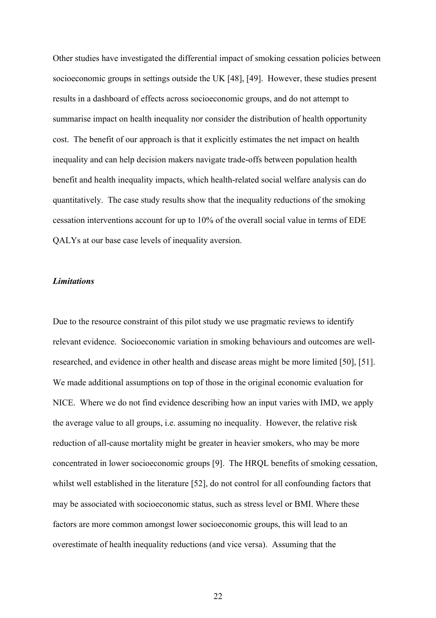Other studies have investigated the differential impact of smoking cessation policies between socioeconomic groups in settings outside the UK [48], [49]. However, these studies present results in a dashboard of effects across socioeconomic groups, and do not attempt to summarise impact on health inequality nor consider the distribution of health opportunity cost. The benefit of our approach is that it explicitly estimates the net impact on health inequality and can help decision makers navigate trade-offs between population health benefit and health inequality impacts, which health-related social welfare analysis can do quantitatively. The case study results show that the inequality reductions of the smoking cessation interventions account for up to 10% of the overall social value in terms of EDE QALYs at our base case levels of inequality aversion.

## *Limitations*

Due to the resource constraint of this pilot study we use pragmatic reviews to identify relevant evidence. Socioeconomic variation in smoking behaviours and outcomes are wellresearched, and evidence in other health and disease areas might be more limited [50], [51]. We made additional assumptions on top of those in the original economic evaluation for NICE. Where we do not find evidence describing how an input varies with IMD, we apply the average value to all groups, i.e. assuming no inequality. However, the relative risk reduction of all-cause mortality might be greater in heavier smokers, who may be more concentrated in lower socioeconomic groups [9]. The HRQL benefits of smoking cessation, whilst well established in the literature [52], do not control for all confounding factors that may be associated with socioeconomic status, such as stress level or BMI. Where these factors are more common amongst lower socioeconomic groups, this will lead to an overestimate of health inequality reductions (and vice versa). Assuming that the

22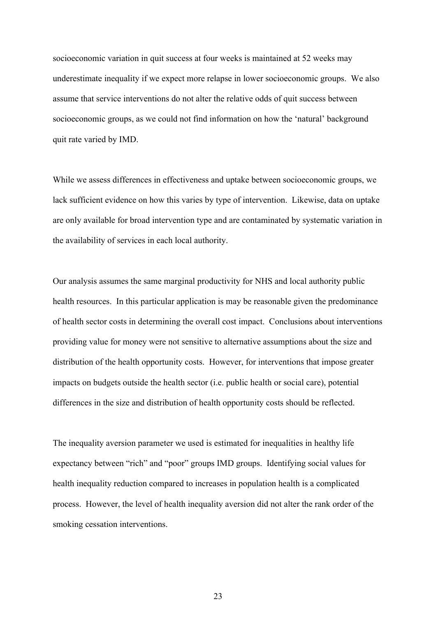socioeconomic variation in quit success at four weeks is maintained at 52 weeks may underestimate inequality if we expect more relapse in lower socioeconomic groups. We also assume that service interventions do not alter the relative odds of quit success between socioeconomic groups, as we could not find information on how the 'natural' background quit rate varied by IMD.

While we assess differences in effectiveness and uptake between socioeconomic groups, we lack sufficient evidence on how this varies by type of intervention. Likewise, data on uptake are only available for broad intervention type and are contaminated by systematic variation in the availability of services in each local authority.

Our analysis assumes the same marginal productivity for NHS and local authority public health resources. In this particular application is may be reasonable given the predominance of health sector costs in determining the overall cost impact. Conclusions about interventions providing value for money were not sensitive to alternative assumptions about the size and distribution of the health opportunity costs. However, for interventions that impose greater impacts on budgets outside the health sector (i.e. public health or social care), potential differences in the size and distribution of health opportunity costs should be reflected.

The inequality aversion parameter we used is estimated for inequalities in healthy life expectancy between "rich" and "poor" groups IMD groups. Identifying social values for health inequality reduction compared to increases in population health is a complicated process. However, the level of health inequality aversion did not alter the rank order of the smoking cessation interventions.

23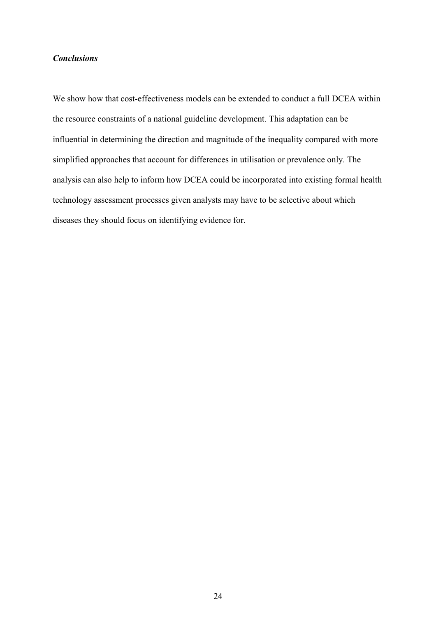## *Conclusions*

We show how that cost-effectiveness models can be extended to conduct a full DCEA within the resource constraints of a national guideline development. This adaptation can be influential in determining the direction and magnitude of the inequality compared with more simplified approaches that account for differences in utilisation or prevalence only. The analysis can also help to inform how DCEA could be incorporated into existing formal health technology assessment processes given analysts may have to be selective about which diseases they should focus on identifying evidence for.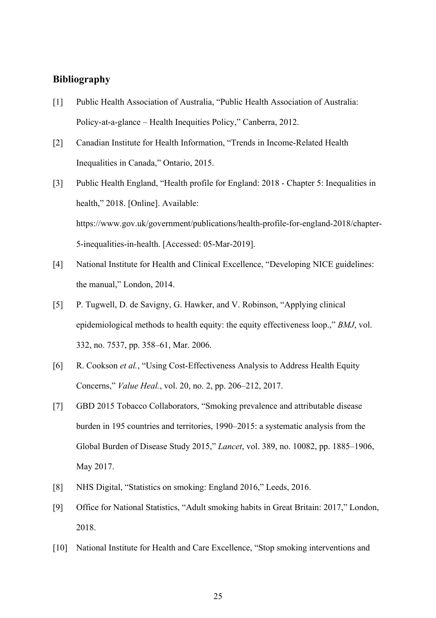# **Bibliography**

- [1] Public Health Association of Australia, "Public Health Association of Australia: Policy-at-a-glance – Health Inequities Policy," Canberra, 2012.
- [2] Canadian Institute for Health Information, "Trends in Income-Related Health Inequalities in Canada," Ontario, 2015.
- [3] Public Health England, "Health profile for England: 2018 Chapter 5: Inequalities in health," 2018. [Online]. Available: https://www.gov.uk/government/publications/health-profile-for-england-2018/chapter-5-inequalities-in-health. [Accessed: 05-Mar-2019].
- [4] National Institute for Health and Clinical Excellence, "Developing NICE guidelines: the manual," London, 2014.
- [5] P. Tugwell, D. de Savigny, G. Hawker, and V. Robinson, "Applying clinical epidemiological methods to health equity: the equity effectiveness loop.," *BMJ*, vol. 332, no. 7537, pp. 358–61, Mar. 2006.
- [6] R. Cookson *et al.*, "Using Cost-Effectiveness Analysis to Address Health Equity Concerns," *Value Heal.*, vol. 20, no. 2, pp. 206–212, 2017.
- [7] GBD 2015 Tobacco Collaborators, "Smoking prevalence and attributable disease burden in 195 countries and territories, 1990–2015: a systematic analysis from the Global Burden of Disease Study 2015," *Lancet*, vol. 389, no. 10082, pp. 1885–1906, May 2017.
- [8] NHS Digital, "Statistics on smoking: England 2016," Leeds, 2016.
- [9] Office for National Statistics, "Adult smoking habits in Great Britain: 2017," London, 2018.
- [10] National Institute for Health and Care Excellence, "Stop smoking interventions and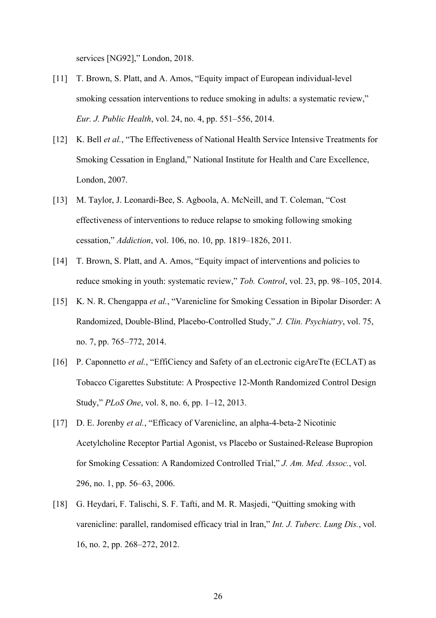services [NG92]," London, 2018.

- [11] T. Brown, S. Platt, and A. Amos, "Equity impact of European individual-level smoking cessation interventions to reduce smoking in adults: a systematic review," *Eur. J. Public Health*, vol. 24, no. 4, pp. 551–556, 2014.
- [12] K. Bell *et al.*, "The Effectiveness of National Health Service Intensive Treatments for Smoking Cessation in England," National Institute for Health and Care Excellence, London, 2007.
- [13] M. Taylor, J. Leonardi-Bee, S. Agboola, A. McNeill, and T. Coleman, "Cost effectiveness of interventions to reduce relapse to smoking following smoking cessation," *Addiction*, vol. 106, no. 10, pp. 1819–1826, 2011.
- [14] T. Brown, S. Platt, and A. Amos, "Equity impact of interventions and policies to reduce smoking in youth: systematic review," *Tob. Control*, vol. 23, pp. 98–105, 2014.
- [15] K. N. R. Chengappa *et al.*, "Varenicline for Smoking Cessation in Bipolar Disorder: A Randomized, Double-Blind, Placebo-Controlled Study," *J. Clin. Psychiatry*, vol. 75, no. 7, pp. 765–772, 2014.
- [16] P. Caponnetto *et al.*, "EffiCiency and Safety of an eLectronic cigAreTte (ECLAT) as Tobacco Cigarettes Substitute: A Prospective 12-Month Randomized Control Design Study," *PLoS One*, vol. 8, no. 6, pp. 1–12, 2013.
- [17] D. E. Jorenby *et al.*, "Efficacy of Varenicline, an alpha-4-beta-2 Nicotinic Acetylcholine Receptor Partial Agonist, vs Placebo or Sustained-Release Bupropion for Smoking Cessation: A Randomized Controlled Trial," *J. Am. Med. Assoc.*, vol. 296, no. 1, pp. 56–63, 2006.
- [18] G. Heydari, F. Talischi, S. F. Tafti, and M. R. Masjedi, "Quitting smoking with varenicline: parallel, randomised efficacy trial in Iran," *Int. J. Tuberc. Lung Dis.*, vol. 16, no. 2, pp. 268–272, 2012.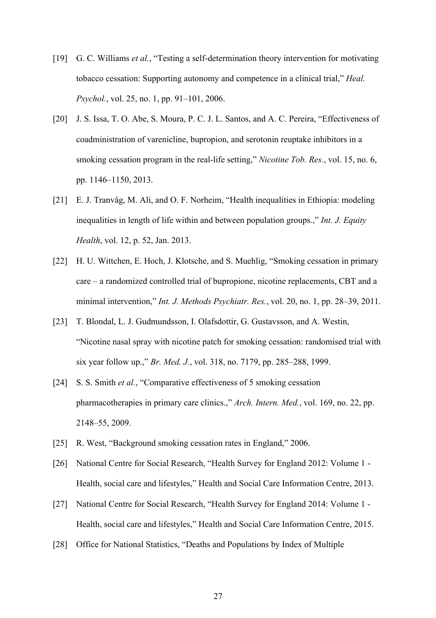- [19] G. C. Williams *et al.*, "Testing a self-determination theory intervention for motivating tobacco cessation: Supporting autonomy and competence in a clinical trial," *Heal. Psychol.*, vol. 25, no. 1, pp. 91–101, 2006.
- [20] J. S. Issa, T. O. Abe, S. Moura, P. C. J. L. Santos, and A. C. Pereira, "Effectiveness of coadministration of varenicline, bupropion, and serotonin reuptake inhibitors in a smoking cessation program in the real-life setting," *Nicotine Tob. Res.*, vol. 15, no. 6, pp. 1146–1150, 2013.
- [21] E. J. Tranvåg, M. Ali, and O. F. Norheim, "Health inequalities in Ethiopia: modeling inequalities in length of life within and between population groups.," *Int. J. Equity Health*, vol. 12, p. 52, Jan. 2013.
- [22] H. U. Wittchen, E. Hoch, J. Klotsche, and S. Muehlig, "Smoking cessation in primary care – a randomized controlled trial of bupropione, nicotine replacements, CBT and a minimal intervention," *Int. J. Methods Psychiatr. Res.*, vol. 20, no. 1, pp. 28–39, 2011.
- [23] T. Blondal, L. J. Gudmundsson, I. Olafsdottir, G. Gustavsson, and A. Westin, "Nicotine nasal spray with nicotine patch for smoking cessation: randomised trial with six year follow up.," *Br. Med. J.*, vol. 318, no. 7179, pp. 285–288, 1999.
- [24] S. S. Smith *et al.*, "Comparative effectiveness of 5 smoking cessation pharmacotherapies in primary care clinics.," *Arch. Intern. Med.*, vol. 169, no. 22, pp. 2148–55, 2009.
- [25] R. West, "Background smoking cessation rates in England," 2006.
- [26] National Centre for Social Research, "Health Survey for England 2012: Volume 1 Health, social care and lifestyles," Health and Social Care Information Centre, 2013.
- [27] National Centre for Social Research, "Health Survey for England 2014: Volume 1 -Health, social care and lifestyles," Health and Social Care Information Centre, 2015.
- [28] Office for National Statistics, "Deaths and Populations by Index of Multiple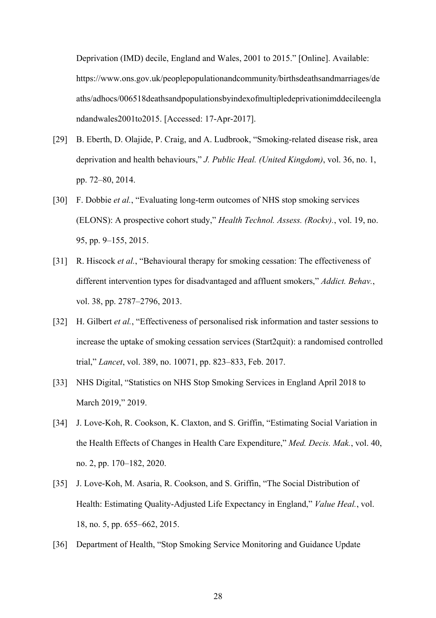Deprivation (IMD) decile, England and Wales, 2001 to 2015." [Online]. Available: https://www.ons.gov.uk/peoplepopulationandcommunity/birthsdeathsandmarriages/de aths/adhocs/006518deathsandpopulationsbyindexofmultipledeprivationimddecileengla ndandwales2001to2015. [Accessed: 17-Apr-2017].

- [29] B. Eberth, D. Olajide, P. Craig, and A. Ludbrook, "Smoking-related disease risk, area deprivation and health behaviours," *J. Public Heal. (United Kingdom)*, vol. 36, no. 1, pp. 72–80, 2014.
- [30] F. Dobbie *et al.*, "Evaluating long-term outcomes of NHS stop smoking services (ELONS): A prospective cohort study," *Health Technol. Assess. (Rockv).*, vol. 19, no. 95, pp. 9–155, 2015.
- [31] R. Hiscock *et al.*, "Behavioural therapy for smoking cessation: The effectiveness of different intervention types for disadvantaged and affluent smokers," *Addict. Behav.*, vol. 38, pp. 2787–2796, 2013.
- [32] H. Gilbert *et al.*, "Effectiveness of personalised risk information and taster sessions to increase the uptake of smoking cessation services (Start2quit): a randomised controlled trial," *Lancet*, vol. 389, no. 10071, pp. 823–833, Feb. 2017.
- [33] NHS Digital, "Statistics on NHS Stop Smoking Services in England April 2018 to March 2019," 2019.
- [34] J. Love-Koh, R. Cookson, K. Claxton, and S. Griffin, "Estimating Social Variation in the Health Effects of Changes in Health Care Expenditure," *Med. Decis. Mak.*, vol. 40, no. 2, pp. 170–182, 2020.
- [35] J. Love-Koh, M. Asaria, R. Cookson, and S. Griffin, "The Social Distribution of Health: Estimating Quality-Adjusted Life Expectancy in England," *Value Heal.*, vol. 18, no. 5, pp. 655–662, 2015.
- [36] Department of Health, "Stop Smoking Service Monitoring and Guidance Update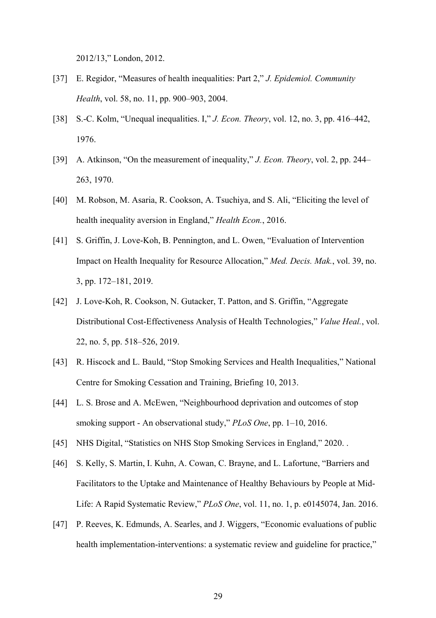2012/13," London, 2012.

- [37] E. Regidor, "Measures of health inequalities: Part 2," *J. Epidemiol. Community Health*, vol. 58, no. 11, pp. 900–903, 2004.
- [38] S.-C. Kolm, "Unequal inequalities. I," *J. Econ. Theory*, vol. 12, no. 3, pp. 416–442, 1976.
- [39] A. Atkinson, "On the measurement of inequality," *J. Econ. Theory*, vol. 2, pp. 244– 263, 1970.
- [40] M. Robson, M. Asaria, R. Cookson, A. Tsuchiya, and S. Ali, "Eliciting the level of health inequality aversion in England," *Health Econ.*, 2016.
- [41] S. Griffin, J. Love-Koh, B. Pennington, and L. Owen, "Evaluation of Intervention Impact on Health Inequality for Resource Allocation," *Med. Decis. Mak.*, vol. 39, no. 3, pp. 172–181, 2019.
- [42] J. Love-Koh, R. Cookson, N. Gutacker, T. Patton, and S. Griffin, "Aggregate Distributional Cost-Effectiveness Analysis of Health Technologies," *Value Heal.*, vol. 22, no. 5, pp. 518–526, 2019.
- [43] R. Hiscock and L. Bauld, "Stop Smoking Services and Health Inequalities," National Centre for Smoking Cessation and Training, Briefing 10, 2013.
- [44] L. S. Brose and A. McEwen, "Neighbourhood deprivation and outcomes of stop smoking support - An observational study," *PLoS One*, pp. 1–10, 2016.
- [45] NHS Digital, "Statistics on NHS Stop Smoking Services in England," 2020. .
- [46] S. Kelly, S. Martin, I. Kuhn, A. Cowan, C. Brayne, and L. Lafortune, "Barriers and Facilitators to the Uptake and Maintenance of Healthy Behaviours by People at Mid-Life: A Rapid Systematic Review," *PLoS One*, vol. 11, no. 1, p. e0145074, Jan. 2016.
- [47] P. Reeves, K. Edmunds, A. Searles, and J. Wiggers, "Economic evaluations of public health implementation-interventions: a systematic review and guideline for practice,"